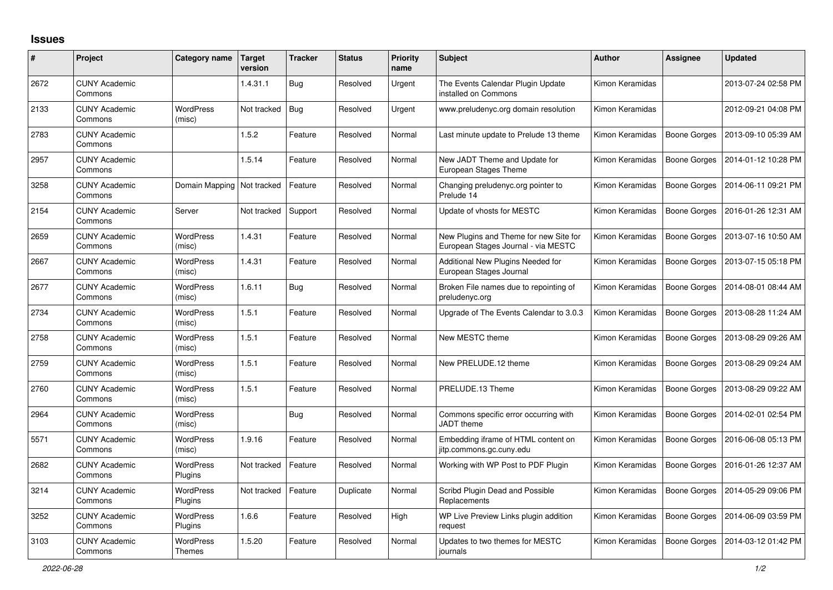## **Issues**

| #    | Project                         | Category name                     | <b>Target</b><br>version | <b>Tracker</b> | <b>Status</b> | <b>Priority</b><br>name | <b>Subject</b>                                                                | <b>Author</b>   | <b>Assignee</b>     | <b>Updated</b>      |
|------|---------------------------------|-----------------------------------|--------------------------|----------------|---------------|-------------------------|-------------------------------------------------------------------------------|-----------------|---------------------|---------------------|
| 2672 | <b>CUNY Academic</b><br>Commons |                                   | 1.4.31.1                 | <b>Bug</b>     | Resolved      | Urgent                  | The Events Calendar Plugin Update<br>installed on Commons                     | Kimon Keramidas |                     | 2013-07-24 02:58 PM |
| 2133 | <b>CUNY Academic</b><br>Commons | <b>WordPress</b><br>(misc)        | Not tracked              | Bug            | Resolved      | Urgent                  | www.preludenyc.org domain resolution                                          | Kimon Keramidas |                     | 2012-09-21 04:08 PM |
| 2783 | <b>CUNY Academic</b><br>Commons |                                   | 1.5.2                    | Feature        | Resolved      | Normal                  | Last minute update to Prelude 13 theme                                        | Kimon Keramidas | Boone Gorges        | 2013-09-10 05:39 AM |
| 2957 | <b>CUNY Academic</b><br>Commons |                                   | 1.5.14                   | Feature        | Resolved      | Normal                  | New JADT Theme and Update for<br>European Stages Theme                        | Kimon Keramidas | Boone Gorges        | 2014-01-12 10:28 PM |
| 3258 | <b>CUNY Academic</b><br>Commons | Domain Mapping   Not tracked      |                          | Feature        | Resolved      | Normal                  | Changing preludenyc.org pointer to<br>Prelude 14                              | Kimon Keramidas | Boone Gorges        | 2014-06-11 09:21 PM |
| 2154 | <b>CUNY Academic</b><br>Commons | Server                            | Not tracked              | Support        | Resolved      | Normal                  | Update of vhosts for MESTC                                                    | Kimon Keramidas | <b>Boone Gorges</b> | 2016-01-26 12:31 AM |
| 2659 | <b>CUNY Academic</b><br>Commons | <b>WordPress</b><br>(misc)        | 1.4.31                   | Feature        | Resolved      | Normal                  | New Plugins and Theme for new Site for<br>European Stages Journal - via MESTC | Kimon Keramidas | Boone Gorges        | 2013-07-16 10:50 AM |
| 2667 | <b>CUNY Academic</b><br>Commons | <b>WordPress</b><br>(misc)        | 1.4.31                   | Feature        | Resolved      | Normal                  | Additional New Plugins Needed for<br>European Stages Journal                  | Kimon Keramidas | Boone Gorges        | 2013-07-15 05:18 PM |
| 2677 | <b>CUNY Academic</b><br>Commons | <b>WordPress</b><br>(misc)        | 1.6.11                   | Bug            | Resolved      | Normal                  | Broken File names due to repointing of<br>preludenyc.org                      | Kimon Keramidas | <b>Boone Gorges</b> | 2014-08-01 08:44 AM |
| 2734 | <b>CUNY Academic</b><br>Commons | <b>WordPress</b><br>(misc)        | 1.5.1                    | Feature        | Resolved      | Normal                  | Upgrade of The Events Calendar to 3.0.3                                       | Kimon Keramidas | <b>Boone Gorges</b> | 2013-08-28 11:24 AM |
| 2758 | <b>CUNY Academic</b><br>Commons | <b>WordPress</b><br>(misc)        | 1.5.1                    | Feature        | Resolved      | Normal                  | New MESTC theme                                                               | Kimon Keramidas | <b>Boone Gorges</b> | 2013-08-29 09:26 AM |
| 2759 | <b>CUNY Academic</b><br>Commons | WordPress<br>(misc)               | 1.5.1                    | Feature        | Resolved      | Normal                  | New PRELUDE.12 theme                                                          | Kimon Keramidas | Boone Gorges        | 2013-08-29 09:24 AM |
| 2760 | <b>CUNY Academic</b><br>Commons | <b>WordPress</b><br>(misc)        | 1.5.1                    | Feature        | Resolved      | Normal                  | PRELUDE.13 Theme                                                              | Kimon Keramidas | <b>Boone Gorges</b> | 2013-08-29 09:22 AM |
| 2964 | <b>CUNY Academic</b><br>Commons | WordPress<br>(misc)               |                          | <b>Bug</b>     | Resolved      | Normal                  | Commons specific error occurring with<br><b>JADT</b> theme                    | Kimon Keramidas | Boone Gorges        | 2014-02-01 02:54 PM |
| 5571 | <b>CUNY Academic</b><br>Commons | <b>WordPress</b><br>(misc)        | 1.9.16                   | Feature        | Resolved      | Normal                  | Embedding iframe of HTML content on<br>jitp.commons.gc.cuny.edu               | Kimon Keramidas | <b>Boone Gorges</b> | 2016-06-08 05:13 PM |
| 2682 | <b>CUNY Academic</b><br>Commons | WordPress<br>Plugins              | Not tracked              | Feature        | Resolved      | Normal                  | Working with WP Post to PDF Plugin                                            | Kimon Keramidas | Boone Gorges        | 2016-01-26 12:37 AM |
| 3214 | <b>CUNY Academic</b><br>Commons | <b>WordPress</b><br>Plugins       | Not tracked              | Feature        | Duplicate     | Normal                  | Scribd Plugin Dead and Possible<br>Replacements                               | Kimon Keramidas | <b>Boone Gorges</b> | 2014-05-29 09:06 PM |
| 3252 | <b>CUNY Academic</b><br>Commons | <b>WordPress</b><br>Plugins       | 1.6.6                    | Feature        | Resolved      | High                    | WP Live Preview Links plugin addition<br>request                              | Kimon Keramidas | Boone Gorges        | 2014-06-09 03:59 PM |
| 3103 | <b>CUNY Academic</b><br>Commons | <b>WordPress</b><br><b>Themes</b> | 1.5.20                   | Feature        | Resolved      | Normal                  | Updates to two themes for MESTC<br>journals                                   | Kimon Keramidas | Boone Gorges        | 2014-03-12 01:42 PM |